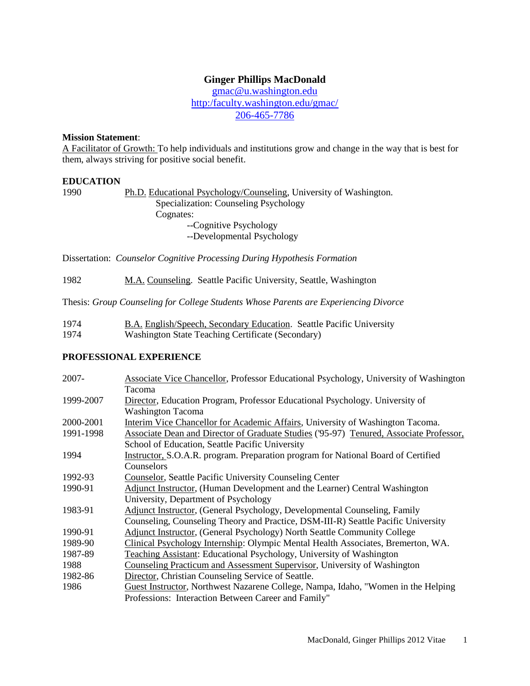# **Ginger Phillips MacDonald**

[gmac@u.washington.edu](mailto:gmac@u.washington.edu) http:/faculty.washington.edu/gmac/ 206-465-7786

## **Mission Statement**:

A Facilitator of Growth: To help individuals and institutions grow and change in the way that is best for them, always striving for positive social benefit.

# **EDUCATION**

1990 Ph.D. Educational Psychology/Counseling, University of Washington. Specialization: Counseling Psychology Cognates: --Cognitive Psychology --Developmental Psychology

Dissertation: *Counselor Cognitive Processing During Hypothesis Formation*

1982 M.A. Counseling. Seattle Pacific University, Seattle, Washington

Thesis: *Group Counseling for College Students Whose Parents are Experiencing Divorce*

| 1974 | <b>B.A. English/Speech, Secondary Education. Seattle Pacific University</b> |
|------|-----------------------------------------------------------------------------|
| 1974 | Washington State Teaching Certificate (Secondary)                           |

### **PROFESSIONAL EXPERIENCE**

| <b>Associate Vice Chancellor, Professor Educational Psychology, University of Washington</b> |
|----------------------------------------------------------------------------------------------|
| Tacoma                                                                                       |
| Director, Education Program, Professor Educational Psychology. University of                 |
| <b>Washington Tacoma</b>                                                                     |
| Interim Vice Chancellor for Academic Affairs, University of Washington Tacoma.               |
| Associate Dean and Director of Graduate Studies ('95-97) Tenured, Associate Professor,       |
| School of Education, Seattle Pacific University                                              |
| Instructor, S.O.A.R. program. Preparation program for National Board of Certified            |
| Counselors                                                                                   |
| <b>Counselor, Seattle Pacific University Counseling Center</b>                               |
| Adjunct Instructor, (Human Development and the Learner) Central Washington                   |
| University, Department of Psychology                                                         |
| Adjunct Instructor, (General Psychology, Developmental Counseling, Family                    |
| Counseling, Counseling Theory and Practice, DSM-III-R) Seattle Pacific University            |
| <b>Adjunct Instructor, (General Psychology) North Seattle Community College</b>              |
| Clinical Psychology Internship: Olympic Mental Health Associates, Bremerton, WA.             |
| Teaching Assistant: Educational Psychology, University of Washington                         |
| Counseling Practicum and Assessment Supervisor, University of Washington                     |
| Director, Christian Counseling Service of Seattle.                                           |
| Guest Instructor, Northwest Nazarene College, Nampa, Idaho, "Women in the Helping            |
| Professions: Interaction Between Career and Family"                                          |
|                                                                                              |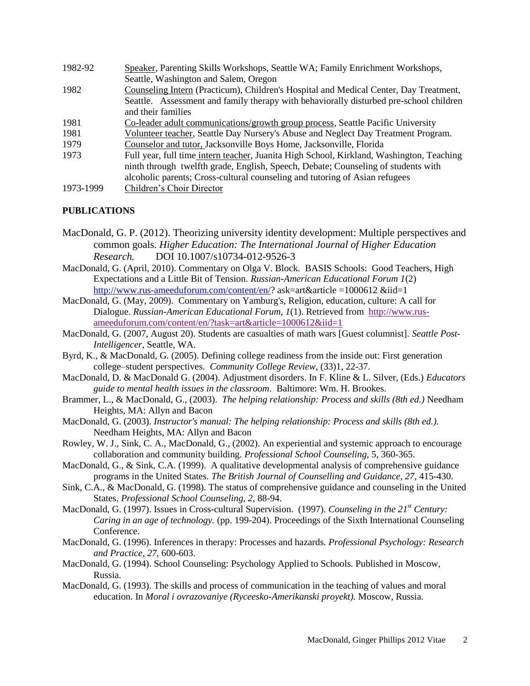| 1982-92   | Speaker, Parenting Skills Workshops, Seattle WA; Family Enrichment Workshops,            |
|-----------|------------------------------------------------------------------------------------------|
|           | Seattle, Washington and Salem, Oregon                                                    |
| 1982      | Counseling Intern (Practicum), Children's Hospital and Medical Center, Day Treatment,    |
|           | Seattle. Assessment and family therapy with behaviorally disturbed pre-school children   |
|           | and their families                                                                       |
| 1981      | Co-leader adult communications/growth group process, Seattle Pacific University          |
| 1981      | Volunteer teacher, Seattle Day Nursery's Abuse and Neglect Day Treatment Program.        |
| 1979      | Counselor and tutor, Jacksonville Boys Home, Jacksonville, Florida                       |
| 1973      | Full year, full time intern teacher, Juanita High School, Kirkland, Washington, Teaching |
|           | ninth through twelfth grade, English, Speech, Debate; Counseling of students with        |
|           | alcoholic parents; Cross-cultural counseling and tutoring of Asian refugees              |
| 1973-1999 | Children's Choir Director                                                                |

# **PUBLICATIONS**

- MacDonald, G. P. (2012). Theorizing university identity development: Multiple perspectives and common goals. *Higher Education: The International Journal of Higher Education Research.* DOI 10.1007/s10734-012-9526-3
- MacDonald, G. (April, 2010). Commentary on Olga V. Block. BASIS Schools: Good Teachers, High Expectations and a Little Bit of Tension. *Russian-American Educational Forum 1*(2) [http://www.rus-ameeduforum.com/content/en/?](http://www.rus-ameeduforum.com/content/en/) ask=art&article =1000612 &iid=1
- MacDonald, G. (May, 2009). Commentary on Yamburg's, Religion, education, culture: A call for Dialogue. *Russian-American Educational Forum, 1*(1). Retrieved from [http://www.rus](http://www.rus-ameeduforum.com/content/en/?task=art&article=1000612&iid=1)[ameeduforum.com/content/en/?task=art&article=1000612&iid=1](http://www.rus-ameeduforum.com/content/en/?task=art&article=1000612&iid=1)
- MacDonald, G. (2007, August 20). Students are casualties of math wars [Guest columnist]. *Seattle Post-Intelligencer*, Seattle, WA.
- Byrd, K., & MacDonald, G. (2005). Defining college readiness from the inside out: First generation college–student perspectives. *Community College Review*, (33)1, 22-37.
- MacDonald, D. & MacDonald G. (2004). Adjustment disorders. In F. Kline & L. Silver, (Eds.) *Educators guide to mental health issues in the classroom*. Baltimore: Wm. H. Brookes.
- Brammer, L., & MacDonald, G., (2003). *The helping relationship: Process and skills (8th ed.)* Needham Heights, MA: Allyn and Bacon
- MacDonald, G. (2003). *Instructor's manual: The helping relationship: Process and skills (8th ed.).* Needham Heights, MA: Allyn and Bacon
- Rowley, W. J., Sink, C. A., MacDonald, G., (2002). An experiential and systemic approach to encourage collaboration and community building. *Professional School Counseling*, 5, 360-365.
- MacDonald, G., & Sink, C.A. (1999). A qualitative developmental analysis of comprehensive guidance programs in the United States. *The British Journal of Counselling and Guidance, 27*, 415-430.
- Sink, C.A., & MacDonald, G. (1998). The status of comprehensive guidance and counseling in the United States. *Professional School Counseling, 2,* 88-94.
- MacDonald, G. (1997). Issues in Cross-cultural Supervision. (1997). *Counseling in the 21st Century: Caring in an age of technology.* (pp. 199-204). Proceedings of the Sixth International Counseling **Conference**
- MacDonald, G. (1996). Inferences in therapy: Processes and hazards*. Professional Psychology: Research and Practice, 27*, 600-603.
- MacDonald, G. (1994). School Counseling: Psychology Applied to Schools. Published in Moscow, Russia.
- MacDonald, G. (1993). The skills and process of communication in the teaching of values and moral education. In *Moral i ovrazovaniye (Ryceesko-Amerikanski proyekt).* Moscow, Russia.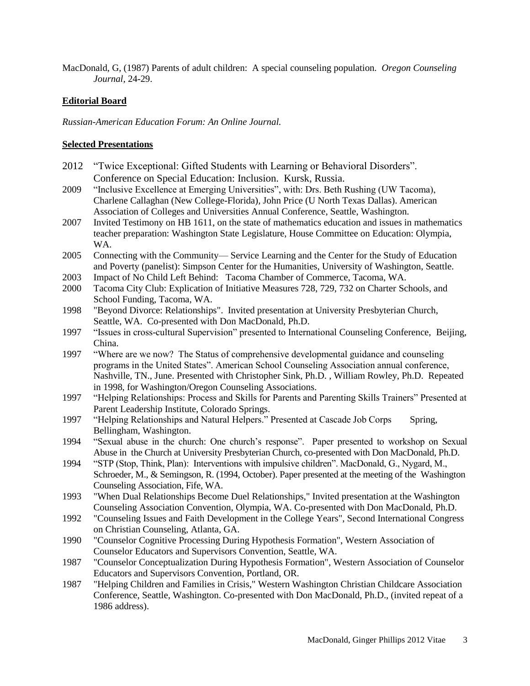MacDonald, G, (1987) Parents of adult children: A special counseling population. *Oregon Counseling Journal,* 24-29.

# **Editorial Board**

*Russian-American Education Forum: An Online Journal.*

# **Selected Presentations**

- 2012 "Twice Exceptional: Gifted Students with Learning or Behavioral Disorders". Conference on Special Education: Inclusion. Kursk, Russia.
- 2009 "Inclusive Excellence at Emerging Universities", with: Drs. Beth Rushing (UW Tacoma), Charlene Callaghan (New College-Florida), John Price (U North Texas Dallas). American Association of Colleges and Universities Annual Conference, Seattle, Washington.
- 2007 Invited Testimony on HB 1611, on the state of mathematics education and issues in mathematics teacher preparation: Washington State Legislature, House Committee on Education: Olympia, WA.
- 2005 Connecting with the Community— Service Learning and the Center for the Study of Education and Poverty (panelist): Simpson Center for the Humanities, University of Washington, Seattle.
- 2003 Impact of No Child Left Behind: Tacoma Chamber of Commerce, Tacoma, WA.
- 2000 Tacoma City Club: Explication of Initiative Measures 728, 729, 732 on Charter Schools, and School Funding, Tacoma, WA.
- 1998 "Beyond Divorce: Relationships". Invited presentation at University Presbyterian Church, Seattle, WA. Co-presented with Don MacDonald, Ph.D.
- 1997 "Issues in cross-cultural Supervision" presented to International Counseling Conference, Beijing, China.
- 1997 "Where are we now? The Status of comprehensive developmental guidance and counseling programs in the United States". American School Counseling Association annual conference, Nashville, TN., June. Presented with Christopher Sink, Ph.D. , William Rowley, Ph.D. Repeated in 1998, for Washington/Oregon Counseling Associations.
- 1997 "Helping Relationships: Process and Skills for Parents and Parenting Skills Trainers" Presented at Parent Leadership Institute, Colorado Springs.
- 1997 "Helping Relationships and Natural Helpers." Presented at Cascade Job Corps Spring, Bellingham, Washington.
- 1994 "Sexual abuse in the church: One church's response". Paper presented to workshop on Sexual Abuse in the Church at University Presbyterian Church, co-presented with Don MacDonald, Ph.D.
- 1994 "STP (Stop, Think, Plan): Interventions with impulsive children". MacDonald, G., Nygard, M., Schroeder, M., & Semingson, R. (1994, October). Paper presented at the meeting of the Washington Counseling Association, Fife, WA.
- 1993 "When Dual Relationships Become Duel Relationships," Invited presentation at the Washington Counseling Association Convention, Olympia, WA. Co-presented with Don MacDonald, Ph.D.
- 1992 "Counseling Issues and Faith Development in the College Years", Second International Congress on Christian Counseling, Atlanta, GA.
- 1990 "Counselor Cognitive Processing During Hypothesis Formation", Western Association of Counselor Educators and Supervisors Convention, Seattle, WA.
- 1987 "Counselor Conceptualization During Hypothesis Formation", Western Association of Counselor Educators and Supervisors Convention, Portland, OR.
- 1987 "Helping Children and Families in Crisis," Western Washington Christian Childcare Association Conference, Seattle, Washington. Co-presented with Don MacDonald, Ph.D., (invited repeat of a 1986 address).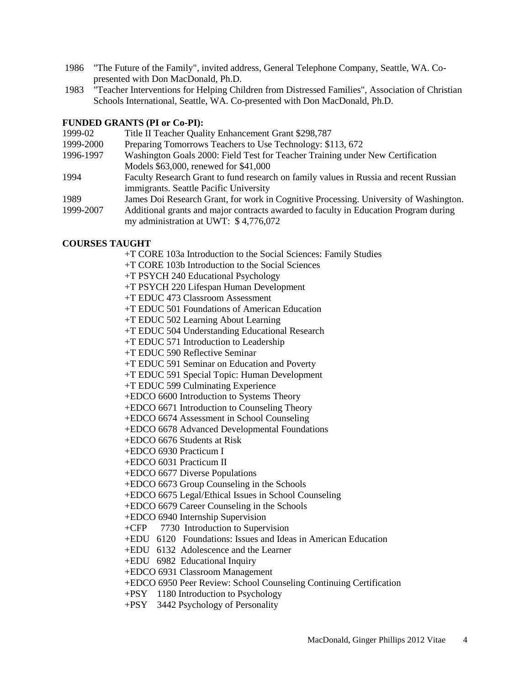- 1986 "The Future of the Family", invited address, General Telephone Company, Seattle, WA. Copresented with Don MacDonald, Ph.D.
- 1983 "Teacher Interventions for Helping Children from Distressed Families", Association of Christian Schools International, Seattle, WA. Co-presented with Don MacDonald, Ph.D.

# **FUNDED GRANTS (PI or Co-PI):**

| 1999-02   | Title II Teacher Quality Enhancement Grant \$298,787                                  |
|-----------|---------------------------------------------------------------------------------------|
| 1999-2000 | Preparing Tomorrows Teachers to Use Technology: \$113, 672                            |
| 1996-1997 | Washington Goals 2000: Field Test for Teacher Training under New Certification        |
|           | Models \$63,000, renewed for \$41,000                                                 |
| 1994      | Faculty Research Grant to fund research on family values in Russia and recent Russian |
|           | immigrants. Seattle Pacific University                                                |
| 1989      | James Doi Research Grant, for work in Cognitive Processing. University of Washington. |
| 1999-2007 | Additional grants and major contracts awarded to faculty in Education Program during  |
|           | my administration at UWT: \$4,776,072                                                 |

# **COURSES TAUGHT**

+T CORE 103a Introduction to the Social Sciences: Family Studies

- +T CORE 103b Introduction to the Social Sciences
- +T PSYCH 240 Educational Psychology
- +T PSYCH 220 Lifespan Human Development

+T EDUC 473 Classroom Assessment

- +T EDUC 501 Foundations of American Education
- +T EDUC 502 Learning About Learning
- +T EDUC 504 Understanding Educational Research
- +T EDUC 571 Introduction to Leadership
- +T EDUC 590 Reflective Seminar
- +T EDUC 591 Seminar on Education and Poverty
- +T EDUC 591 Special Topic: Human Development
- +T EDUC 599 Culminating Experience
- +EDCO 6600 Introduction to Systems Theory
- +EDCO 6671 Introduction to Counseling Theory
- +EDCO 6674 Assessment in School Counseling
- +EDCO 6678 Advanced Developmental Foundations
- +EDCO 6676 Students at Risk
- +EDCO 6930 Practicum I
- +EDCO 6031 Practicum II
- +EDCO 6677 Diverse Populations

+EDCO 6673 Group Counseling in the Schools

- +EDCO 6675 Legal/Ethical Issues in School Counseling
- +EDCO 6679 Career Counseling in the Schools
- +EDCO 6940 Internship Supervision
- +CFP 7730 Introduction to Supervision
- +EDU 6120 Foundations: Issues and Ideas in American Education
- +EDU 6132 Adolescence and the Learner
- +EDU 6982 Educational Inquiry
- +EDCO 6931 Classroom Management
- +EDCO 6950 Peer Review: School Counseling Continuing Certification
- +PSY 1180 Introduction to Psychology
- +PSY 3442 Psychology of Personality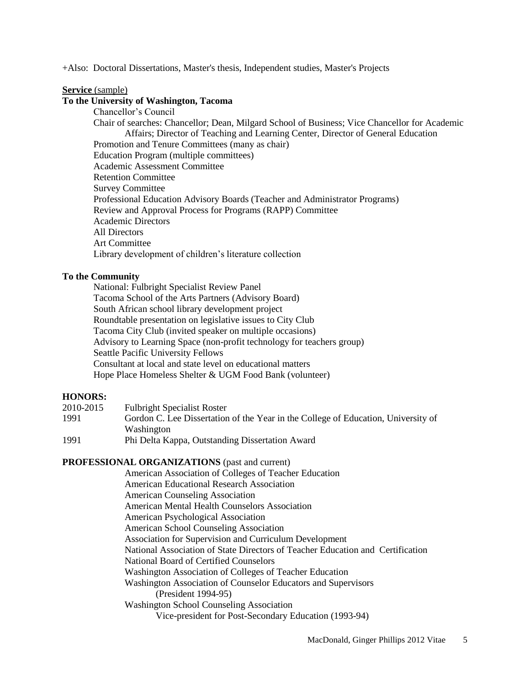+Also: Doctoral Dissertations, Master's thesis, Independent studies, Master's Projects

#### **Service** (sample)

### **To the University of Washington, Tacoma**

Chancellor's Council Chair of searches: Chancellor; Dean, Milgard School of Business; Vice Chancellor for Academic Affairs; Director of Teaching and Learning Center, Director of General Education Promotion and Tenure Committees (many as chair) Education Program (multiple committees) Academic Assessment Committee Retention Committee Survey Committee Professional Education Advisory Boards (Teacher and Administrator Programs) Review and Approval Process for Programs (RAPP) Committee Academic Directors All Directors Art Committee Library development of children's literature collection

#### **To the Community**

National: Fulbright Specialist Review Panel Tacoma School of the Arts Partners (Advisory Board) South African school library development project Roundtable presentation on legislative issues to City Club Tacoma City Club (invited speaker on multiple occasions) Advisory to Learning Space (non-profit technology for teachers group) Seattle Pacific University Fellows Consultant at local and state level on educational matters Hope Place Homeless Shelter & UGM Food Bank (volunteer)

## **HONORS:**

| 2010-2015 | <b>Fulbright Specialist Roster</b>                                                |
|-----------|-----------------------------------------------------------------------------------|
| 1991      | Gordon C. Lee Dissertation of the Year in the College of Education, University of |
|           | Washington                                                                        |
| 1991      | Phi Delta Kappa, Outstanding Dissertation Award                                   |

### **PROFESSIONAL ORGANIZATIONS** (past and current)

American Association of Colleges of Teacher Education American Educational Research Association American Counseling Association American Mental Health Counselors Association American Psychological Association American School Counseling Association Association for Supervision and Curriculum Development National Association of State Directors of Teacher Education and Certification National Board of Certified Counselors Washington Association of Colleges of Teacher Education Washington Association of Counselor Educators and Supervisors (President 1994-95) Washington School Counseling Association Vice-president for Post-Secondary Education (1993-94)